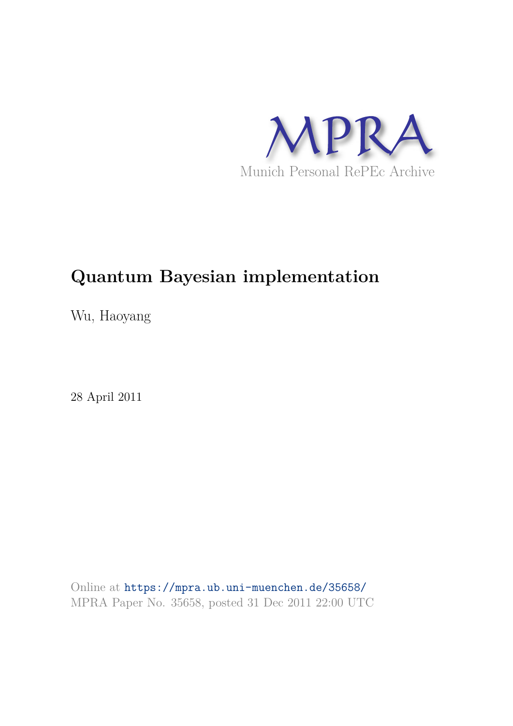

# **Quantum Bayesian implementation**

Wu, Haoyang

28 April 2011

Online at https://mpra.ub.uni-muenchen.de/35658/ MPRA Paper No. 35658, posted 31 Dec 2011 22:00 UTC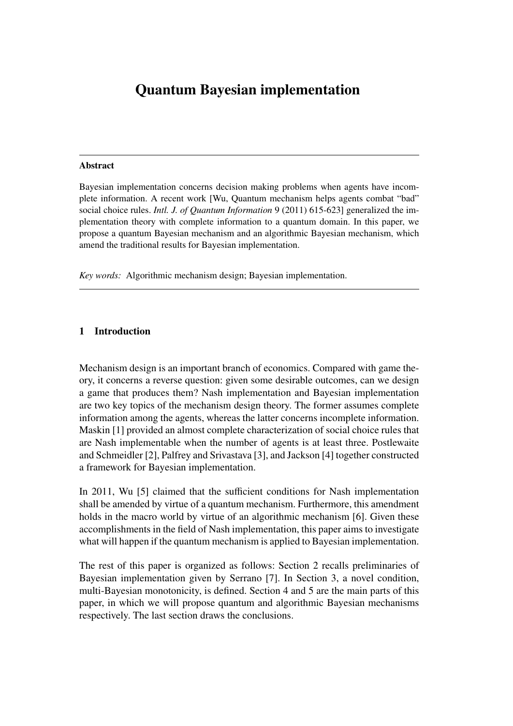## Quantum Bayesian implementation

#### Abstract

Bayesian implementation concerns decision making problems when agents have incomplete information. A recent work [Wu, Quantum mechanism helps agents combat "bad" social choice rules. *Intl. J. of Quantum Information* 9 (2011) 615-623] generalized the implementation theory with complete information to a quantum domain. In this paper, we propose a quantum Bayesian mechanism and an algorithmic Bayesian mechanism, which amend the traditional results for Bayesian implementation.

*Key words:* Algorithmic mechanism design; Bayesian implementation.

#### 1 Introduction

Mechanism design is an important branch of economics. Compared with game theory, it concerns a reverse question: given some desirable outcomes, can we design a game that produces them? Nash implementation and Bayesian implementation are two key topics of the mechanism design theory. The former assumes complete information among the agents, whereas the latter concerns incomplete information. Maskin [1] provided an almost complete characterization of social choice rules that are Nash implementable when the number of agents is at least three. Postlewaite and Schmeidler [2], Palfrey and Srivastava [3], and Jackson [4] together constructed a framework for Bayesian implementation.

In 2011, Wu [5] claimed that the sufficient conditions for Nash implementation shall be amended by virtue of a quantum mechanism. Furthermore, this amendment holds in the macro world by virtue of an algorithmic mechanism [6]. Given these accomplishments in the field of Nash implementation, this paper aims to investigate what will happen if the quantum mechanism is applied to Bayesian implementation.

The rest of this paper is organized as follows: Section 2 recalls preliminaries of Bayesian implementation given by Serrano [7]. In Section 3, a novel condition, multi-Bayesian monotonicity, is defined. Section 4 and 5 are the main parts of this paper, in which we will propose quantum and algorithmic Bayesian mechanisms respectively. The last section draws the conclusions.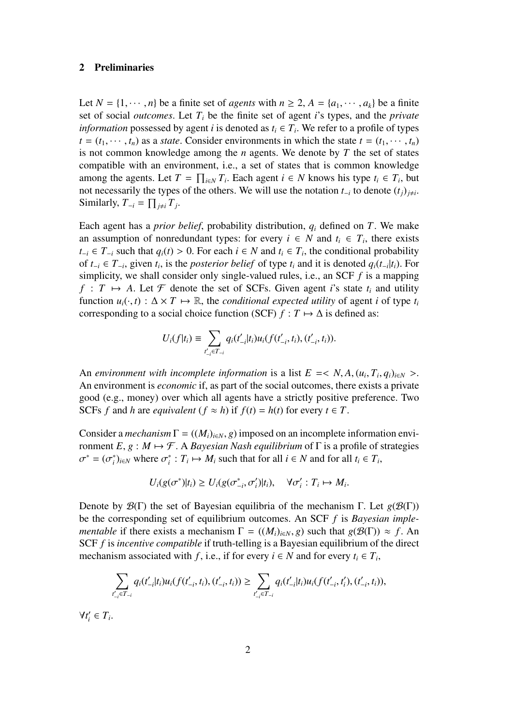#### 2 Preliminaries

Let  $N = \{1, \dots, n\}$  be a finite set of *agents* with  $n \geq 2$ ,  $A = \{a_1, \dots, a_k\}$  be a finite set of social *outcomes*. Let *T<sup>i</sup>* be the finite set of agent *i*'s types, and the *private information* possessed by agent *i* is denoted as  $t_i \in T_i$ . We refer to a profile of types  $t = (t_1, \dots, t_n)$  as a *state*. Consider environments in which the state  $t = (t_1, \dots, t_n)$ is not common knowledge among the *n* agents. We denote by *T* the set of states compatible with an environment, i.e., a set of states that is common knowledge among the agents. Let  $T = \prod_{i \in N} T_i$ . Each agent  $i \in N$  knows his type  $t_i \in T_i$ , but not necessarily the types of the others. We will use the notation  $t_{-i}$  to denote  $(t_j)_{j \neq i}$ . Similarly,  $T_{-i} = \prod_{j \neq i} T_j$ .

Each agent has a *prior belief*, probability distribution, *q<sup>i</sup>* defined on *T*. We make an assumption of nonredundant types: for every  $i \in N$  and  $t_i \in T_i$ , there exists *t*−*i* ∈ *T*−*i* such that *q*<sup>*i*</sup>(*t*) > 0. For each *i* ∈ *N* and *t*<sub>*i*</sub> ∈ *T*<sub>*i*</sub>, the conditional probability of  $t_{-i}$  ∈  $T_{-i}$ , given  $t_i$ , is the *posterior belief* of type  $t_i$  and it is denoted  $q_i(t_{-i}|t_i)$ . For simplicity, we shall consider only single-valued rules, i.e., an SCF *f* is a mapping  $f: T \mapsto A$ . Let F denote the set of SCFs. Given agent *i*'s state  $t_i$  and utility function  $u_i(\cdot, t) : \Delta \times T \mapsto \mathbb{R}$ , the *conditional expected utility* of agent *i* of type  $t_i$ corresponding to a social choice function (SCF)  $f : T \mapsto \Delta$  is defined as:

$$
U_i(f|t_i) \equiv \sum_{t'_{-i} \in T_{-i}} q_i(t'_{-i}|t_i) u_i(f(t'_{-i}, t_i), (t'_{-i}, t_i)).
$$

An *environment with incomplete information* is a list  $E = \langle N, A, (u_i, T_i, q_i)_{i \in N} \rangle$ . An environment is *economic* if, as part of the social outcomes, there exists a private good (e.g., money) over which all agents have a strictly positive preference. Two SCFs *f* and *h* are *equivalent* ( $f \approx h$ ) if  $f(t) = h(t)$  for every  $t \in T$ .

Consider a *mechanism*  $\Gamma = ((M_i)_{i \in N}, g)$  imposed on an incomplete information environment *E*,  $g : M \mapsto \mathcal{F}$ . A *Bayesian Nash equilibrium* of  $\Gamma$  is a profile of strategies  $\sigma^* = (\sigma_i^*)_{i \in N}$  where  $\sigma_i^* : T_i \mapsto M_i$  such that for all  $i \in N$  and for all  $t_i \in T_i$ ,

$$
U_i(g(\sigma^*)|t_i) \ge U_i(g(\sigma^*_{-i}, \sigma'_i)|t_i), \quad \forall \sigma'_i: T_i \mapsto M_i.
$$

Denote by  $\mathcal{B}(\Gamma)$  the set of Bayesian equilibria of the mechanism  $\Gamma$ . Let  $g(\mathcal{B}(\Gamma))$ be the corresponding set of equilibrium outcomes. An SCF *f* is *Bayesian implementable* if there exists a mechanism  $\Gamma = ((M_i)_{i \in N}, g)$  such that  $g(\mathcal{B}(\Gamma)) \approx f$ . An SCF *f* is *incentive compatible* if truth-telling is a Bayesian equilibrium of the direct mechanism associated with *f*, i.e., if for every  $i \in N$  and for every  $t_i \in T_i$ ,

$$
\sum_{i'_{-i} \in T_{-i}} q_i(t'_{-i}|t_i)u_i(f(t'_{-i}, t_i), (t'_{-i}, t_i)) \geq \sum_{t'_{-i} \in T_{-i}} q_i(t'_{-i}|t_i)u_i(f(t'_{-i}, t'_i), (t'_{-i}, t_i)),
$$

 $\forall t_i' \in T_i.$ 

*t*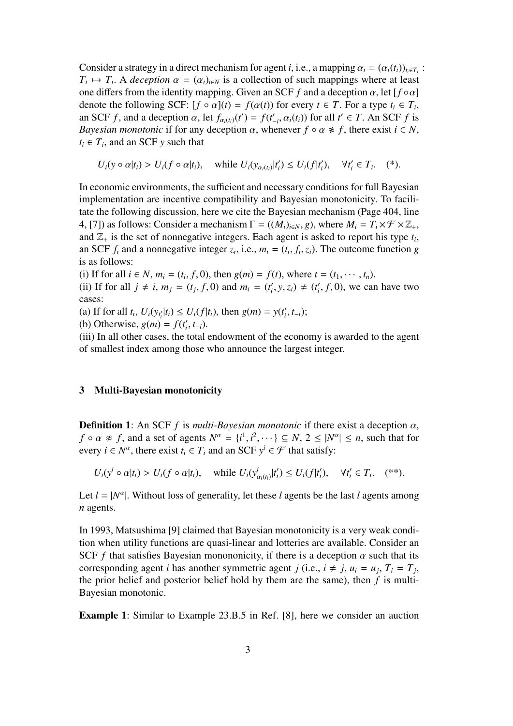Consider a strategy in a direct mechanism for agent *i*, i.e., a mapping  $\alpha_i = (\alpha_i(t_i))_{t_i \in T_i}$ :  $T_i \mapsto T_i$ . A *deception*  $\alpha = (\alpha_i)_{i \in N}$  is a collection of such mappings where at least one differs from the identity mapping. Given an SCF  $f$  and a deception  $\alpha$ , let  $[f \circ \alpha]$ denote the following SCF:  $[f \circ \alpha](t) = f(\alpha(t))$  for every  $t \in T$ . For a type  $t_i \in T_i$ , an SCF *f*, and a deception  $\alpha$ , let  $f_{\alpha_i(t_i)}(t') = f(t'_{-i}, \alpha_i(t_i))$  for all  $t' \in T$ . An SCF *f* is *Bayesian monotonic* if for any deception  $\alpha$ , whenever  $f \circ \alpha \neq f$ , there exist  $i \in N$ ,  $t_i \in T_i$ , and an SCF *y* such that

$$
U_i(y \circ \alpha | t_i) > U_i(f \circ \alpha | t_i), \quad \text{while } U_i(y_{\alpha_i(t_i)} | t_i') \leq U_i(f | t_i'), \quad \forall t_i' \in T_i.
$$
 (\*)

In economic environments, the sufficient and necessary conditions for full Bayesian implementation are incentive compatibility and Bayesian monotonicity. To facilitate the following discussion, here we cite the Bayesian mechanism (Page 404, line 4, [7]) as follows: Consider a mechanism  $\Gamma = ((M_i)_{i \in N}, g)$ , where  $M_i = T_i \times \mathcal{F} \times \mathbb{Z}_+$ , and  $\mathbb{Z}_+$  is the set of nonnegative integers. Each agent is asked to report his type  $t_i$ , an SCF  $f_i$  and a nonnegative integer  $z_i$ , i.e.,  $m_i = (t_i, f_i, z_i)$ . The outcome function *g* is as follows:

(i) If for all *i* ∈ *N*,  $m_i$  = ( $t_i$ ,  $f$ , 0), then  $g(m) = f(t)$ , where  $t = (t_1, \dots, t_n)$ .

(ii) If for all  $j \neq i$ ,  $m_j = (t_j, f, 0)$  and  $m_i = (t'_i, y, z_i) \neq (t'_i, f, 0)$ , we can have two cases:

(a) If for all  $t_i$ ,  $U_i(y_{t_i'}|t_i) \le U_i(f|t_i)$ , then  $g(m) = y(t_i', t_{-i})$ ;

(b) Otherwise, 
$$
g(m) = f(t'_i, t_{-i})
$$
.

(iii) In all other cases, the total endowment of the economy is awarded to the agent of smallest index among those who announce the largest integer.

#### 3 Multi-Bayesian monotonicity

**Definition 1:** An SCF  $f$  is *multi-Bayesian monotonic* if there exist a deception  $\alpha$ ,  $f \circ \alpha \neq f$ , and a set of agents  $N^{\alpha} = \{i^1, i^2, \dots\} \subseteq N$ ,  $2 \leq |N^{\alpha}| \leq n$ , such that for every  $i \in N^{\alpha}$ , there exist  $t_i \in T_i$  and an SCF  $y^i \in \mathcal{F}$  that satisfy:

$$
U_i(y^i \circ \alpha | t_i) > U_i(f \circ \alpha | t_i), \quad \text{while } U_i(y^i_{\alpha_i(t_i)} | t'_i) \leq U_i(f | t'_i), \quad \forall t'_i \in T_i. \quad (*)
$$

Let  $l = |N^{\alpha}|$ . Without loss of generality, let these *l* agents be the last *l* agents among *n* agents.

In 1993, Matsushima [9] claimed that Bayesian monotonicity is a very weak condition when utility functions are quasi-linear and lotteries are available. Consider an SCF *f* that satisfies Bayesian monononicity, if there is a deception  $\alpha$  such that its corresponding agent *i* has another symmetric agent *j* (i.e.,  $i \neq j$ ,  $u_i = u_j$ ,  $T_i = T_j$ , the prior belief and posterior belief hold by them are the same), then *f* is multi-Bayesian monotonic.

Example 1: Similar to Example 23.B.5 in Ref. [8], here we consider an auction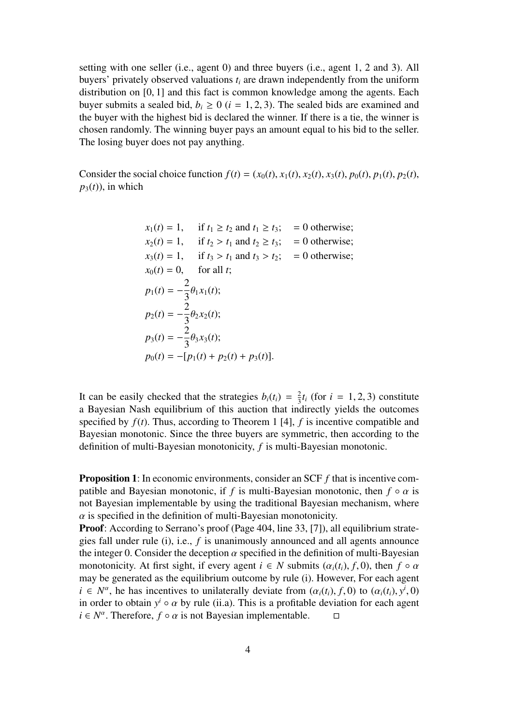setting with one seller (i.e., agent 0) and three buyers (i.e., agent 1, 2 and 3). All buyers' privately observed valuations *t<sup>i</sup>* are drawn independently from the uniform distribution on [0, 1] and this fact is common knowledge among the agents. Each buyer submits a sealed bid,  $b_i \geq 0$  ( $i = 1, 2, 3$ ). The sealed bids are examined and the buyer with the highest bid is declared the winner. If there is a tie, the winner is chosen randomly. The winning buyer pays an amount equal to his bid to the seller. The losing buyer does not pay anything.

Consider the social choice function  $f(t) = (x_0(t), x_1(t), x_2(t), x_3(t), p_0(t), p_1(t), p_2(t),$  $p_3(t)$ , in which

$$
x_1(t) = 1, \quad \text{if } t_1 \ge t_2 \text{ and } t_1 \ge t_3; \quad = 0 \text{ otherwise};
$$
  
\n
$$
x_2(t) = 1, \quad \text{if } t_2 > t_1 \text{ and } t_2 \ge t_3; \quad = 0 \text{ otherwise};
$$
  
\n
$$
x_3(t) = 1, \quad \text{if } t_3 > t_1 \text{ and } t_3 > t_2; \quad = 0 \text{ otherwise};
$$
  
\n
$$
x_0(t) = 0, \quad \text{for all } t;
$$
  
\n
$$
p_1(t) = -\frac{2}{3}\theta_1 x_1(t);
$$
  
\n
$$
p_2(t) = -\frac{2}{3}\theta_2 x_2(t);
$$
  
\n
$$
p_3(t) = -\frac{2}{3}\theta_3 x_3(t);
$$
  
\n
$$
p_0(t) = -[p_1(t) + p_2(t) + p_3(t)].
$$

It can be easily checked that the strategies  $b_i(t_i) = \frac{2}{3}$  $\frac{2}{3}t_i$  (for  $i = 1, 2, 3$ ) constitute a Bayesian Nash equilibrium of this auction that indirectly yields the outcomes specified by *f*(*t*). Thus, according to Theorem 1 [4], *f* is incentive compatible and Bayesian monotonic. Since the three buyers are symmetric, then according to the definition of multi-Bayesian monotonicity, *f* is multi-Bayesian monotonic.

Proposition 1: In economic environments, consider an SCF *f* that is incentive compatible and Bayesian monotonic, if *f* is multi-Bayesian monotonic, then  $f \circ \alpha$  is not Bayesian implementable by using the traditional Bayesian mechanism, where  $\alpha$  is specified in the definition of multi-Bayesian monotonicity.

Proof: According to Serrano's proof (Page 404, line 33, [7]), all equilibrium strategies fall under rule (i), i.e., *f* is unanimously announced and all agents announce the integer 0. Consider the deception  $\alpha$  specified in the definition of multi-Bayesian monotonicity. At first sight, if every agent  $i \in N$  submits  $(\alpha_i(t_i), f, 0)$ , then  $f \circ \alpha$ may be generated as the equilibrium outcome by rule (i). However, For each agent  $i \in N^{\alpha}$ , he has incentives to unilaterally deviate from  $(\alpha_i(t_i), f, 0)$  to  $(\alpha_i(t_i), y^i, 0)$ in order to obtain  $y^i \circ \alpha$  by rule (ii.a). This is a profitable deviation for each agent  $i \in N^{\alpha}$ . Therefore,  $f \circ \alpha$  is not Bayesian implementable.  $\square$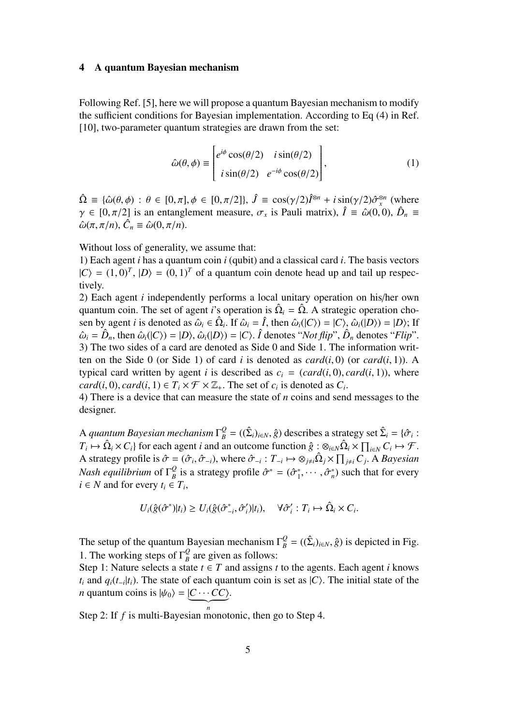#### 4 A quantum Bayesian mechanism

Following Ref. [5], here we will propose a quantum Bayesian mechanism to modify the sufficient conditions for Bayesian implementation. According to Eq (4) in Ref. [10], two-parameter quantum strategies are drawn from the set:

$$
\hat{\omega}(\theta,\phi) \equiv \begin{bmatrix} e^{i\phi}\cos(\theta/2) & i\sin(\theta/2) \\ i\sin(\theta/2) & e^{-i\phi}\cos(\theta/2) \end{bmatrix},
$$
\n(1)

 $\hat{\Omega} \equiv {\hat{\omega}(\theta, \phi)} : \theta \in [0, \pi], \phi \in [0, \pi/2], \hat{J} \equiv \cos(\gamma/2)\hat{I}^{\otimes n} + i\sin(\gamma/2)\hat{\sigma}_x^{\otimes n}$  (where  $\gamma \in [0, \pi/2]$  is an entanglement measure,  $\sigma_x$  is Pauli matrix),  $\hat{I} \equiv \hat{\omega}(0, 0), \hat{D}_n \equiv \hat{\omega}(0, 0)$  $\hat{\omega}(\pi, \pi/n), \hat{C}_n \equiv \hat{\omega}(0, \pi/n).$ 

Without loss of generality, we assume that:

1) Each agent *i* has a quantum coin *i* (qubit) and a classical card *i*. The basis vectors  $|C\rangle = (1, 0)^T$ ,  $|D\rangle = (0, 1)^T$  of a quantum coin denote head up and tail up respectively.

2) Each agent *i* independently performs a local unitary operation on his/her own quantum coin. The set of agent *i*'s operation is  $\hat{\Omega}_i = \hat{\Omega}$ . A strategic operation chosen by agent *i* is denoted as  $\hat{\omega}_i \in \hat{\Omega}_i$ . If  $\hat{\omega}_i = \hat{I}$ , then  $\hat{\omega}_i(|C\rangle) = |C\rangle$ ,  $\hat{\omega}_i(|D\rangle) = |D\rangle$ ; If  $\hat{\omega}_i = \hat{D}_n$ , then  $\hat{\omega}_i(|C\rangle) = |D\rangle$ ,  $\hat{\omega}_i(|D\rangle) = |C\rangle$ .  $\hat{I}$  denotes "*Not flip*",  $\hat{D}_n$  denotes "*Flip*". 3) The two sides of a card are denoted as Side 0 and Side 1. The information written on the Side 0 (or Side 1) of card *i* is denoted as  $card(i, 0)$  (or  $card(i, 1)$ ). A typical card written by agent *i* is described as  $c_i = (card(i, 0), card(i, 1))$ , where *card*(*i*, 0), *card*(*i*, 1)  $\in T_i \times \mathcal{F} \times \mathbb{Z}_+$ . The set of *c<sub>i</sub>* is denoted as *C<sub>i</sub>*.

4) There is a device that can measure the state of *n* coins and send messages to the designer.

A *quantum Bayesian mechanism*  $\Gamma_B^Q = ((\hat{\Sigma}_i)_{i \in N}, \hat{g})$  describes a strategy set  $\hat{\Sigma}_i = \{\hat{\sigma}_i :$  $T_i \mapsto \hat{\Omega}_i \times C_i$  for each agent *i* and an outcome function  $\hat{g} : \otimes_{i \in N} \hat{\Omega}_i \times \prod_{i \in N} C_i \mapsto \mathcal{F}$ . A strategy profile is  $\hat{\sigma} = (\hat{\sigma}_i, \hat{\sigma}_{-i})$ , where  $\hat{\sigma}_{-i}: T_{-i} \mapsto \otimes_{j \neq i} \hat{\Omega}_j \times \prod_{j \neq i} C_j$ . A *Bayesian Nash equilibrium* of Γ *Q*  $\mathcal{L}_{B}^{Q}$  is a strategy profile  $\hat{\sigma}^{*} = (\hat{\sigma}_{1}^{*}, \cdots, \hat{\sigma}_{n}^{*})$  such that for every  $i \in N$  and for every  $t_i \in T_i$ ,

$$
U_i(\hat{g}(\hat{\sigma}^*)|t_i) \geq U_i(\hat{g}(\hat{\sigma}_{-i}^*,\hat{\sigma}_i')|t_i), \quad \forall \hat{\sigma}_i': T_i \mapsto \hat{\Omega}_i \times C_i.
$$

The setup of the quantum Bayesian mechanism  $\Gamma_B^Q = ((\hat{\Sigma}_i)_{i \in N}, \hat{g})$  is depicted in Fig. 1. The working steps of  $\Gamma_R^Q$  $\frac{Q}{B}$  are given as follows:

Step 1: Nature selects a state  $t \in T$  and assigns  $t$  to the agents. Each agent  $i$  knows *t*<sub>*i*</sub> and  $q_i(t_{-i}|t_i)$ . The state of each quantum coin is set as  $|C\rangle$ . The initial state of the *n* quantum coins is  $|\psi_0\rangle = |C \cdots CC\rangle$ .

Step 2: If  $f$  is multi-Bayesian monotonic, then go to Step 4.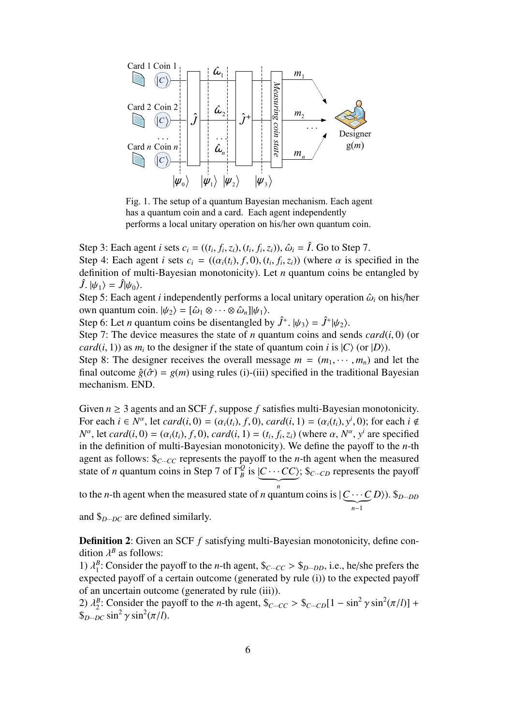

Fig. 1. The setup of a quantum Bayesian mechanism. Each agent has a quantum coin and a card. Each agent independently performs a local unitary operation on his/her own quantum coin.

Step 3: Each agent *i* sets  $c_i = ((t_i, f_i, z_i), (t_i, f_i, z_i))$ ,  $\hat{\omega}_i = \hat{I}$ . Go to Step 7. Step 4: Each agent *i* sets  $c_i = ((\alpha_i(t_i), f, 0), (t_i, f_i, z_i))$  (where  $\alpha$  is specified in the definition of multi-Bayesian monotonicity). Let *n* quantum coins be entangled by  $\hat{J}$ .  $|\psi_1\rangle = \hat{J}|\psi_0\rangle$ .

Step 5: Each agent *i* independently performs a local unitary operation  $\hat{\omega}_i$  on his/her own quantum coin.  $|\psi_2\rangle = [\hat{\omega}_1 \otimes \cdots \otimes \hat{\omega}_n] |\psi_1\rangle$ .

Step 6: Let *n* quantum coins be disentangled by  $\hat{J}^+$ .  $|\psi_3\rangle = \hat{J}^+|\psi_2\rangle$ .

Step 7: The device measures the state of *n* quantum coins and sends  $card(i, 0)$  (or *card*(*i*, 1)) as  $m_i$  to the designer if the state of quantum coin *i* is  $|C\rangle$  (or  $|D\rangle$ ).

Step 8: The designer receives the overall message  $m = (m_1, \dots, m_n)$  and let the final outcome  $\hat{g}(\hat{\sigma}) = g(m)$  using rules (i)-(iii) specified in the traditional Bayesian mechanism. END.

Given  $n \geq 3$  agents and an SCF  $f$ , suppose  $f$  satisfies multi-Bayesian monotonicity. For each  $i \in N^{\alpha}$ , let  $card(i, 0) = (\alpha_i(t_i), f, 0)$ ,  $card(i, 1) = (\alpha_i(t_i), y^i, 0)$ ; for each  $i \notin$  $N^{\alpha}$ , let *card*(*i*, 0) = ( $\alpha_i(t_i)$ , *f*, 0), *card*(*i*, 1) = ( $t_i$ ,  $f_i$ ,  $z_i$ ) (where  $\alpha$ ,  $N^{\alpha}$ ,  $y^i$  are specified in the definition of multi-Bayesian monotonicity). We define the payoff to the *n*-th agent as follows:  $\oint_{C \cdots CC}$  represents the payoff to the *n*-th agent when the measured state of *n* quantum coins in Step 7 of  $\Gamma_R^Q$  $\frac{Q}{B}$  is  $\underbrace{(C \cdots CC)}$ ; \$*c*<sub>*···</sub><i>c*<sub>*D*</sub> represents the payoff</sub>

to the *n*-th agent when the measured state of *n* quantum coins is  $|\underbrace{C \cdots C}_{n-1}|$ *D*i). \$*<sup>D</sup>*···*DD*

and \$*<sup>D</sup>*···*DC* are defined similarly.

**Definition 2:** Given an SCF *f* satisfying multi-Bayesian monotonicity, define condition  $\lambda^B$  as follows:

1)  $\lambda_1^B$ : Consider the payoff to the *n*-th agent,  $\mathcal{S}_{C}$ *···CC* >  $\mathcal{S}_{D}$ *···DD*, i.e., he/she prefers the expected payoff of a certain outcome (generated by rule (i)) to the expected payoff of an uncertain outcome (generated by rule (iii)).

2)  $\lambda_2^B$ : Consider the payoff to the *n*-th agent,  $\oint_{C \cdots CC} > \oint_{C \cdots CD} [1 - \sin^2 \gamma \sin^2(\pi/l)] +$  $\int_{D \cdots DC}^{\infty} \sin^2 \gamma \sin^2(\pi/l)$ .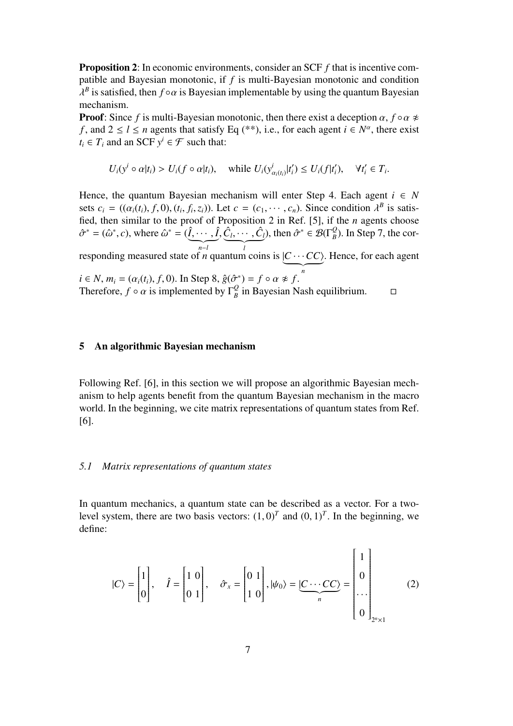Proposition 2: In economic environments, consider an SCF *f* that is incentive compatible and Bayesian monotonic, if *f* is multi-Bayesian monotonic and condition  $\lambda^B$  is satisfied, then *f* ∘ *α* is Bayesian implementable by using the quantum Bayesian mechanism.

**Proof:** Since *f* is multi-Bayesian monotonic, then there exist a deception  $\alpha$ ,  $f \circ \alpha \neq 0$ *f*, and  $2 \le l \le n$  agents that satisfy Eq (\*\*), i.e., for each agent  $i \in N^{\alpha}$ , there exist  $t_i \in T_i$  and an SCF  $y^i \in \mathcal{F}$  such that:

$$
U_i(y^i \circ \alpha | t_i) > U_i(f \circ \alpha | t_i), \quad \text{while } U_i(y^i_{\alpha_i(t_i)} | t'_i) \leq U_i(f|t'_i), \quad \forall t'_i \in T_i.
$$

Hence, the quantum Bayesian mechanism will enter Step 4. Each agent  $i \in N$ sets  $c_i = ((\alpha_i(t_i), f, 0), (t_i, f_i, z_i))$ . Let  $c = (c_1, \dots, c_n)$ . Since condition  $\lambda^B$  is satisfied, then similar to the proof of Proposition 2 in Ref. [5], if the *n* agents choose  $\hat{\sigma}^* = (\hat{\omega}^*, c)$ , where  $\hat{\omega}^* = (\underbrace{\hat{l}, \cdots, \hat{l}}_{n-l})$  $\frac{\hat{C}_l, \cdots, \hat{C}_l}{l}$ ), then  $\hat{\sigma}^* \in \mathcal{B}(\Gamma_B^Q)$  $\binom{Q}{B}$ . In Step 7, the corresponding measured state of *n* quantum coins is  $\underbrace{(C \cdots CC)}$ . Hence, for each agent  $i \in N$ ,  $m_i = (\alpha_i(t_i), f, 0)$ . In Step 8,  $\hat{g}(\hat{\sigma}^*) = f \circ \alpha \neq f$ . Therefore,  $f \circ \alpha$  is implemented by  $\Gamma_g^Q$  $\frac{Q}{B}$  in Bayesian Nash equilibrium.  $\square$ 

#### 5 An algorithmic Bayesian mechanism

Following Ref. [6], in this section we will propose an algorithmic Bayesian mechanism to help agents benefit from the quantum Bayesian mechanism in the macro world. In the beginning, we cite matrix representations of quantum states from Ref. [6].

#### *5.1 Matrix representations of quantum states*

In quantum mechanics, a quantum state can be described as a vector. For a twolevel system, there are two basis vectors:  $(1,0)^T$  and  $(0,1)^T$ . In the beginning, we define:

$$
|C\rangle = \begin{bmatrix} 1 \\ 0 \end{bmatrix}, \quad \hat{I} = \begin{bmatrix} 1 & 0 \\ 0 & 1 \end{bmatrix}, \quad \hat{\sigma}_x = \begin{bmatrix} 0 & 1 \\ 1 & 0 \end{bmatrix}, |\psi_0\rangle = \underbrace{|C\cdots CC\rangle}_{n} = \begin{bmatrix} 1 \\ 0 \\ \cdots \\ 0 \end{bmatrix}_{2^n \times 1} \tag{2}
$$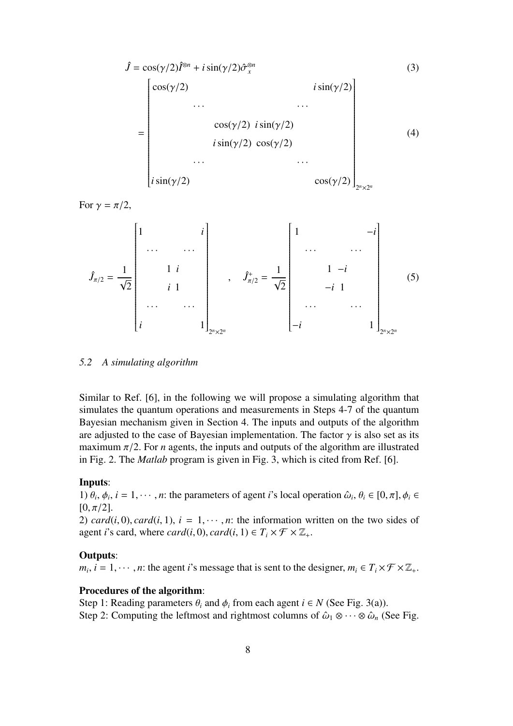$$
\hat{J} = \cos(\gamma/2)\hat{I}^{\otimes n} + i\sin(\gamma/2)\hat{\sigma}_x^{\otimes n}
$$
\n(3)  
\n
$$
= \begin{bmatrix}\n\cos(\gamma/2) & i\sin(\gamma/2) \\
\cdots & \cdots \\
\cos(\gamma/2) & i\sin(\gamma/2) \\
i\sin(\gamma/2) & \cos(\gamma/2) \\
\cdots & \cdots \\
i\sin(\gamma/2) & \cos(\gamma/2)\n\end{bmatrix}_{2^n \times 2^n}
$$
\n(4)

For  $\gamma = \pi/2$ ,

*J*ˆ π/<sup>2</sup> = 1 √ 2 1 *i* · · · · · · 1 *i i* 1 · · · · · · *i* 1 2 *<sup>n</sup>*×<sup>2</sup> *n* , *J*ˆ<sup>+</sup> π/<sup>2</sup> = 1 √ 2 1 −*i* · · · · · · 1 −*i* −*i* 1 · · · · · · −*i* 1 2 *<sup>n</sup>*×<sup>2</sup> *n* (5)

#### *5.2 A simulating algorithm*

Similar to Ref. [6], in the following we will propose a simulating algorithm that simulates the quantum operations and measurements in Steps 4-7 of the quantum Bayesian mechanism given in Section 4. The inputs and outputs of the algorithm are adjusted to the case of Bayesian implementation. The factor  $\gamma$  is also set as its maximum  $\pi/2$ . For *n* agents, the inputs and outputs of the algorithm are illustrated in Fig. 2. The *Matlab* program is given in Fig. 3, which is cited from Ref. [6].

#### Inputs:

1)  $\theta_i$ ,  $\phi_i$ ,  $i = 1, \dots, n$ : the parameters of agent *i*'s local operation  $\hat{\omega}_i$ ,  $\theta_i \in [0, \pi]$ ,  $\phi_i \in$  $[0, \pi/2]$ .

2)  $card(i, 0)$ ,  $card(i, 1)$ ,  $i = 1, \dots, n$ : the information written on the two sides of agent *i*'s card, where *card*(*i*, 0), *card*(*i*, 1)  $\in T_i \times \mathcal{F} \times \mathbb{Z}_+$ .

#### Outputs:

 $m_i$ ,  $i = 1, \dots, n$ : the agent *i*'s message that is sent to the designer,  $m_i \in T_i \times \mathcal{F} \times \mathbb{Z}_+$ .

#### Procedures of the algorithm:

Step 1: Reading parameters  $\theta_i$  and  $\phi_i$  from each agent  $i \in N$  (See Fig. 3(a)). Step 2: Computing the leftmost and rightmost columns of  $\hat{\omega}_1 \otimes \cdots \otimes \hat{\omega}_n$  (See Fig.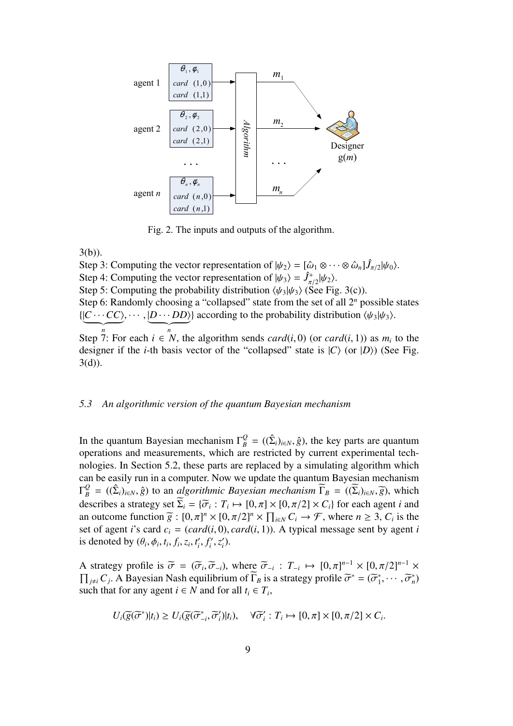

Fig. 2. The inputs and outputs of the algorithm.

3(b)).

Step 3: Computing the vector representation of  $|\psi_2\rangle = [\hat{\omega}_1 \otimes \cdots \otimes \hat{\omega}_n] \hat{J}_{\pi/2} |\psi_0\rangle$ . Step 4: Computing the vector representation of  $|\psi_3\rangle = \hat{J}^+_{\pi/2} |\psi_2\rangle$ . Step 5: Computing the probability distribution  $\langle \psi_3 | \psi_3 \rangle$  (See Fig. 3(c)). Step 6: Randomly choosing a "collapsed" state from the set of all 2*<sup>n</sup>* possible states  $\{\underbrace{|C\cdots CC\rangle}, \cdots, \underbrace{|D\cdots DD\rangle}\}$  according to the probability distribution  $\langle \psi_3 | \psi_3 \rangle$ . Step 7: For each  $i \in N$ , the algorithm sends *card*(*i*, 0) (or *card*(*i*, 1)) as  $m_i$  to the designer if the *i*-th basis vector of the "collapsed" state is  $|C\rangle$  (or  $|D\rangle$ ) (See Fig. 3(d)).

#### *5.3 An algorithmic version of the quantum Bayesian mechanism*

In the quantum Bayesian mechanism  $\Gamma_B^Q = ((\hat{\Sigma}_i)_{i \in N}, \hat{g})$ , the key parts are quantum operations and measurements, which are restricted by current experimental technologies. In Section 5.2, these parts are replaced by a simulating algorithm which can be easily run in a computer. Now we update the quantum Bayesian mechanism  $\Gamma_B^Q = ((\hat{\Sigma}_i)_{i \in N}, \hat{g})$  to an *algorithmic Bayesian mechanism*  $\widetilde{\Gamma}_B = ((\widetilde{\Sigma}_i)_{i \in N}, \widetilde{g})$ , which describes a strategy set  $\Sigma_i = {\overline{\sigma_i}} : T_i \mapsto [0, \pi] \times [0, \pi/2] \times C_i$  for each agent *i* and an outcome function  $\tilde{g} : [0, \pi]^n \times [0, \pi/2]^n \times \prod_{i \in N} C_i \rightarrow \mathcal{F}$ , where  $n \ge 3$ ,  $C_i$  is the set of agent *i*'s card  $c_i = (card(i, 0), card(i, 1))$ . A typical message sent by agent *i* is denoted by  $(\theta_i, \phi_i, t_i, f_i, z_i, t'_i, f'_i, z'_i)$ .

A strategy profile is  $\tilde{\sigma} = (\tilde{\sigma}_i, \tilde{\sigma}_{-i})$ , where  $\tilde{\sigma}_{-i} : T_{-i} \mapsto [0, \pi]^{n-1} \times [0, \pi/2]^{n-1} \times \prod_{j \neq i} C_j$ . A Bayesian Nash equilibrium of  $\tilde{\Gamma}_B$  is a strategy profile  $\tilde{\sigma}^* = (\tilde{\sigma}_1^*, \cdots, \tilde{\sigma}_n^*)$ such that for any agent  $i \in N$  and for all  $t_i \in T_i$ ,

$$
U_i(\widetilde{g}(\widetilde{\sigma}^*)|t_i) \geq U_i(\widetilde{g}(\widetilde{\sigma}^*_{-i},\widetilde{\sigma}'_i)|t_i), \quad \forall \widetilde{\sigma}'_i: T_i \mapsto [0,\pi] \times [0,\pi/2] \times C_i.
$$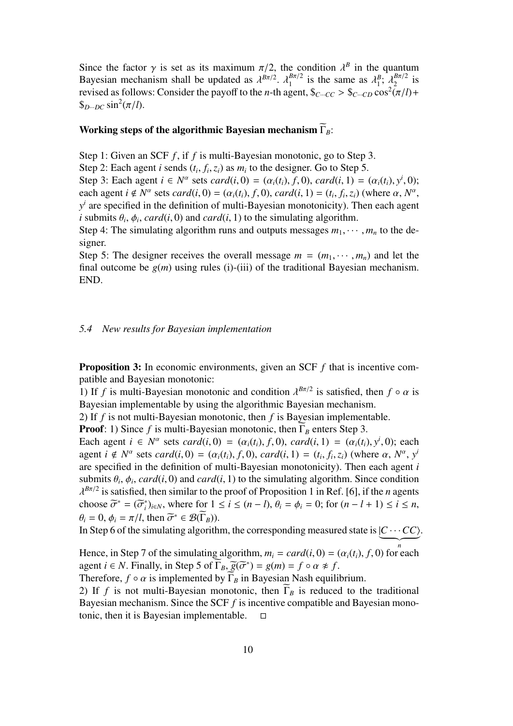Since the factor  $\gamma$  is set as its maximum  $\pi/2$ , the condition  $\lambda^B$  in the quantum Bayesian mechanism shall be updated as  $\lambda^{B\pi/2}$ .  $\lambda_1^{B\pi/2}$  $\lambda_1^{B\pi/2}$  is the same as  $\lambda_1^B$ ;  $\lambda_2^{B\pi/2}$  $\frac{B\pi/2}{2}$  is revised as follows: Consider the payoff to the *n*-th agent,  $\oint_{C} C \cdot C \cdot C \cdot C$   $\int_C C \cdot C \cdot C \cdot C \cdot C \cdot C$  $\oint_{D\cdots DC}$  sin<sup>2</sup>( $\pi$ /*l*).

### Working steps of the algorithmic Bayesian mechanism  $\widetilde{\Gamma}_B$ :

Step 1: Given an SCF *f*, if *f* is multi-Bayesian monotonic, go to Step 3.

Step 2: Each agent *i* sends  $(t_i, f_i, z_i)$  as  $m_i$  to the designer. Go to Step 5.

Step 3: Each agent  $i \in N^{\alpha}$  sets *card*(*i*, 0) = ( $\alpha_i(t_i)$ , *f*, 0), *card*(*i*, 1) = ( $\alpha_i(t_i)$ ,  $y^i$ , 0); each agent  $i \notin N^{\alpha}$  sets  $card(i, 0) = (\alpha_i(t_i), f, 0)$ ,  $card(i, 1) = (t_i, f_i, z_i)$  (where  $\alpha, N^{\alpha}$ ,  $y<sup>i</sup>$  are specified in the definition of multi-Bayesian monotonicity). Then each agent *i* submits  $\theta_i$ ,  $\phi_i$ , *card*(*i*, 0) and *card*(*i*, 1) to the simulating algorithm.

Step 4: The simulating algorithm runs and outputs messages  $m_1, \dots, m_n$  to the designer.

Step 5: The designer receives the overall message  $m = (m_1, \dots, m_n)$  and let the final outcome be  $g(m)$  using rules (i)-(iii) of the traditional Bayesian mechanism. END.

#### *5.4 New results for Bayesian implementation*

**Proposition 3:** In economic environments, given an SCF f that is incentive compatible and Bayesian monotonic:

1) If *f* is multi-Bayesian monotonic and condition  $\lambda^{B\pi/2}$  is satisfied, then  $f \circ \alpha$  is Bayesian implementable by using the algorithmic Bayesian mechanism.

2) If *f* is not multi-Bayesian monotonic, then *f* is Bayesian implementable.

**Proof:** 1) Since *f* is multi-Bayesian monotonic, then  $\overline{\Gamma}_B$  enters Step 3.

Each agent  $i \in N^{\alpha}$  sets *card*(*i*, 0) = ( $\alpha_i(t_i)$ ,  $f$ , 0), *card*(*i*, 1) = ( $\alpha_i(t_i)$ ,  $y^i$ , 0); each agent  $i \notin N^{\alpha}$  sets  $card(i, 0) = (\alpha_i(t_i), f, 0)$ ,  $card(i, 1) = (t_i, f_i, z_i)$  (where  $\alpha, N^{\alpha}, y^{\beta}$ are specified in the definition of multi-Bayesian monotonicity). Then each agent *i* submits  $\theta_i$ ,  $\phi_i$ , *card*(*i*, 0) and *card*(*i*, 1) to the simulating algorithm. Since condition  $\lambda^{B\pi/2}$  is satisfied, then similar to the proof of Proposition 1 in Ref. [6], if the *n* agents choose  $\widetilde{\sigma}^* = (\widetilde{\sigma}_i^*)_{i \in N}$ , where for  $1 \le i \le (n-l)$ ,  $\theta_i = \phi_i = 0$ ; for  $(n-l+1) \le i \le n$ ,  $\theta_i = 0, \phi_i = \pi/l$ , then  $\tilde{\sigma}^* \in \mathcal{B}(\Gamma_B)$ ).

In Step 6 of the simulating algorithm, the corresponding measured state is  $\underbrace{(C \cdots CC)}$ .

Hence, in Step 7 of the simulating algorithm,  $m_i = card(i, 0) = (\alpha_i(t_i), f, 0)$  for each agent  $i \in N$ . Finally, in Step 5 of  $\Gamma_B$ ,  $\overline{g}(\overline{\sigma}^*) = g(m) = f \circ \alpha \neq f$ .

Therefore,  $f \circ \alpha$  is implemented by  $\widetilde{\Gamma}_B$  in Bayesian Nash equilibrium.

2) If *f* is not multi-Bayesian monotonic, then  $\Gamma_B$  is reduced to the traditional Bayesian mechanism. Since the SCF *f* is incentive compatible and Bayesian monotonic, then it is Bayesian implementable.  $\square$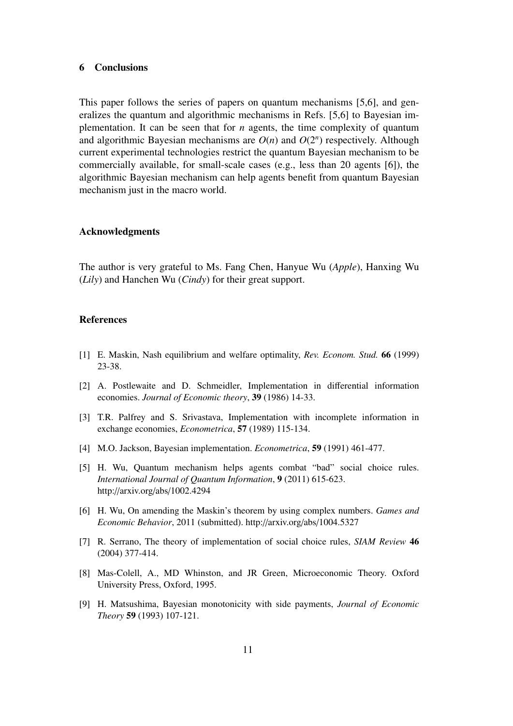#### 6 Conclusions

This paper follows the series of papers on quantum mechanisms [5,6], and generalizes the quantum and algorithmic mechanisms in Refs. [5,6] to Bayesian implementation. It can be seen that for *n* agents, the time complexity of quantum and algorithmic Bayesian mechanisms are  $O(n)$  and  $O(2<sup>n</sup>)$  respectively. Although current experimental technologies restrict the quantum Bayesian mechanism to be commercially available, for small-scale cases (e.g., less than 20 agents [6]), the algorithmic Bayesian mechanism can help agents benefit from quantum Bayesian mechanism just in the macro world.

#### Acknowledgments

The author is very grateful to Ms. Fang Chen, Hanyue Wu (*Apple*), Hanxing Wu (*Lily*) and Hanchen Wu (*Cindy*) for their great support.

#### References

- [1] E. Maskin, Nash equilibrium and welfare optimality, *Rev. Econom. Stud.* 66 (1999) 23-38.
- [2] A. Postlewaite and D. Schmeidler, Implementation in differential information economies. *Journal of Economic theory*, 39 (1986) 14-33.
- [3] T.R. Palfrey and S. Srivastava, Implementation with incomplete information in exchange economies, *Econometrica*, 57 (1989) 115-134.
- [4] M.O. Jackson, Bayesian implementation. *Econometrica*, 59 (1991) 461-477.
- [5] H. Wu, Quantum mechanism helps agents combat "bad" social choice rules. *International Journal of Quantum Information*, 9 (2011) 615-623. http://arxiv.org/abs/1002.4294
- [6] H. Wu, On amending the Maskin's theorem by using complex numbers. *Games and Economic Behavior*, 2011 (submitted). http://arxiv.org/abs/1004.5327
- [7] R. Serrano, The theory of implementation of social choice rules, *SIAM Review* 46 (2004) 377-414.
- [8] Mas-Colell, A., MD Whinston, and JR Green, Microeconomic Theory. Oxford University Press, Oxford, 1995.
- [9] H. Matsushima, Bayesian monotonicity with side payments, *Journal of Economic Theory* 59 (1993) 107-121.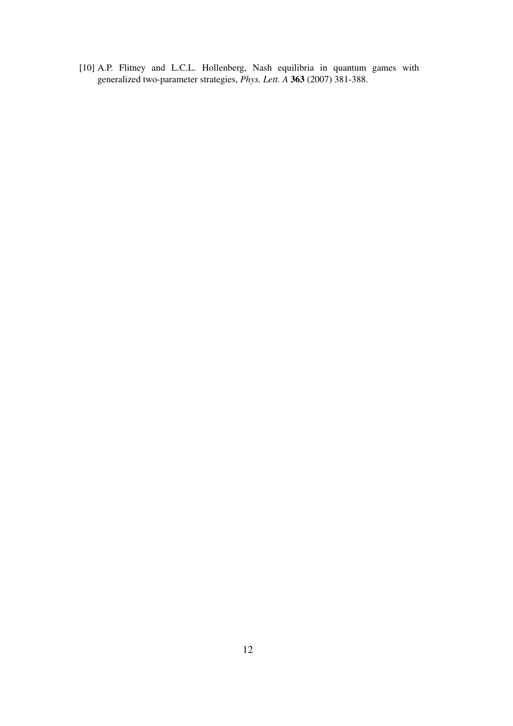[10] A.P. Flitney and L.C.L. Hollenberg, Nash equilibria in quantum games with generalized two-parameter strategies, *Phys. Lett. A* 363 (2007) 381-388.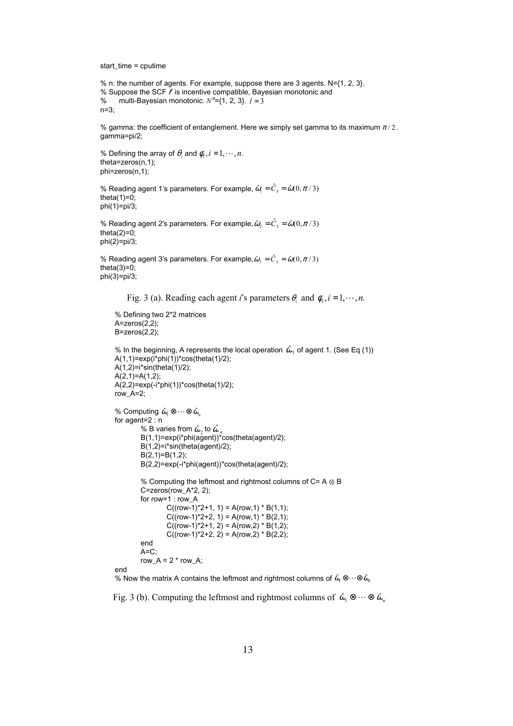start\_time = cputime

```
% n: the number of agents. For example, suppose there are 3 agents. N={1, 2, 3}.
% Suppose the SCF f is incentive compatible, Bayesian monotonic and
% multi-Bayesian monotonic. N^{\alpha} = \{1, 2, 3\}. l = 3n=3;
```
% gamma: the coefficient of entanglement. Here we simply set gamma to its maximum  $\pi/2$  . gamma=pi/2;

```
% Defining the array of \theta_i and \phi_i, i = 1, \dots, n.
theta=zeros(n,1);
phi=zeros(n,1);
```

```
% Reading agent 1's parameters. For example, \hat{\omega}_{\text{\tiny{l}}}=\hat{C}_{\text{\tiny{3}}}=\hat{\omega}(0,\pi\,/\,3)theta(1)=0;
phi(1)=pi/3;
```

```
% Reading agent 2's parameters. For example, \hat{\omega}_2=\hat{C}_3=\hat{\omega}(0,\pi/3)theta(2)=0:
phi(2)=pi/3;
```

```
% Reading agent 3's parameters. For example, \hat{\omega}_{_3} = \hat{C}_{_3} = \hat{\omega}(0,\pi\,/\,3)theta(3)=0;
phi(3)=pi/3;
```

```
Fig. 3 (a). Reading each agent i's parameters \theta_i and \phi_i, i = 1, \dots, n.
```

```
% Defining two 2*2 matrices
A=zeros(2,2);
B=zeros(2,2);
```

```
% In the beginning, A represents the local operation \,\hat{\omega}_{{\rm I}}\, of agent 1. (See Eq (1))
A(1,1)=exp(i*phi(1))*cos(theta(1)/2);A(1,2)=i*sin(theta(1)/2);
A(2,1)=A(1,2);
A(2,2)=exp(-i *phi(1)) * cos(theta(1)/2);row_A=2;
```

```
% Computing \hat{\omega}_n \otimes \cdots \otimes \hat{\omega}_nfor agent=2 : n
         % B varies from \hat{\omega}_{_2} to \hat{\omega}_{_n}B(1,1)=exp(i * phi(a'gent)) * cos(theta(agent)/2);B(1,2)=i*sin(theta(agent)/2);
         B(2,1)=B(1,2);
         B(2,2)=exp(-i*phi(agent))*cos(theta(agent)/2);
         % Computing the leftmost and rightmost columns of C = A \otimes BC=zeros(row_A*2, 2);
         for row=1 : row_A
                  C((row-1)*2+1, 1) = A(row, 1) * B(1,1);C((row-1)*2+2, 1) = A(row, 1) * B(2,1);C((row-1)*2+1, 2) = A(row, 2) * B(1, 2);C((row-1)*2+2, 2) = A(row, 2) * B(2,2);end
         A=C;
         row_A = 2 * row_A;
end
```
% Now the matrix A contains the leftmost and rightmost columns of  $\hat{\omega}_l\otimes\cdots\otimes \hat{\omega}_n$ 

Fig. 3 (b). Computing the leftmost and rightmost columns of  $\hat{\omega}_1 \otimes \cdots \otimes \hat{\omega}_n$